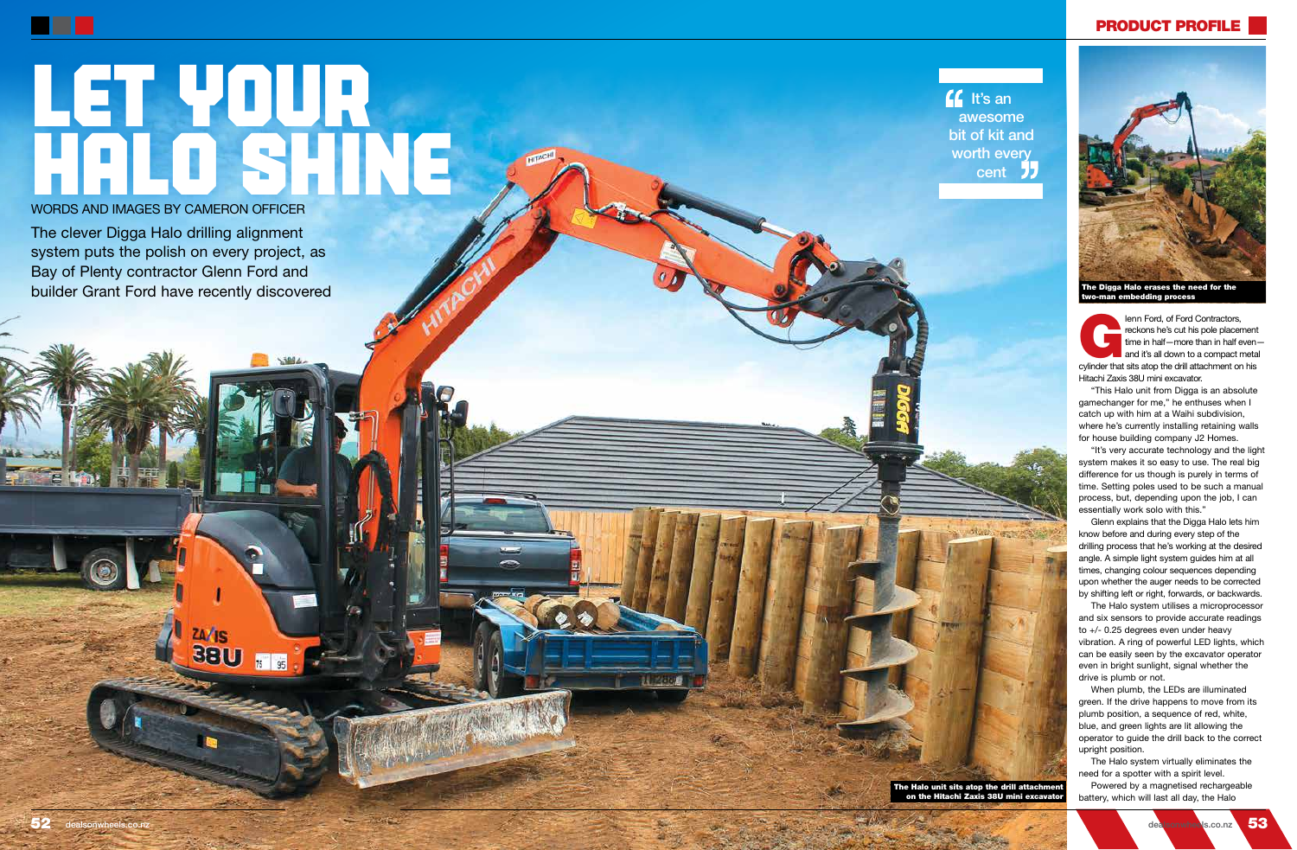lenn Ford, of Ford Contractors,<br>
reckons he's cut his pole placement<br>
time in half—more than in half even-<br>
and it's all down to a compact meta<br>
cylinder that sits atop the drill attachment on his reckons he's cut his pole placement time in half—more than in half even and it's all down to a compact metal Hitachi Zaxis 38U mini excavator.

"This Halo unit from Digga is an absolute gamechanger for me," he enthuses when I catch up with him at a Waihi subdivision, where he's currently installing retaining walls for house building company J2 Homes.

"It's very accurate technology and the light system makes it so easy to use. The real big difference for us though is purely in terms of time. Setting poles used to be such a manual process, but, depending upon the job, I can essentially work solo with this."

Glenn explains that the Digga Halo lets him know before and during every step of the drilling process that he's working at the desired angle. A simple light system guides him at all times, changing colour sequences depending upon whether the auger needs to be corrected by shifting left or right, forwards, or backwards.

The clever Digga Halo drilling alignment system puts the polish on every project, as Bay of Plenty contractor Glenn Ford and builder Grant Ford have recently discovered

> The Halo system utilises a microprocessor and six sensors to provide accurate readings to +/- 0.25 degrees even under heavy vibration. A ring of powerful LED lights, which can be easily seen by the excavator operator even in bright sunlight, signal whether the drive is plumb or not.

When plumb, the LEDs are illuminated green. If the drive happens to move from its plumb position, a sequence of red, white, blue, and green lights are lit allowing the operator to guide the drill back to the correct upright position.

The Halo system virtually eliminates the need for a spotter with a spirit level.

Powered by a magnetised rechargeable battery, which will last all day, the Halo

on the Hitachi Zaxis 38U mini excavator



## PRODUCT PROFILE

**If** It's an awesome bit of kit and worth every cent **JJ** 

## LET YOUR WORDS AND IMAGES BY CAMERON OFFICER

WORDS AND IMAGES BY CAMERON OFFICER